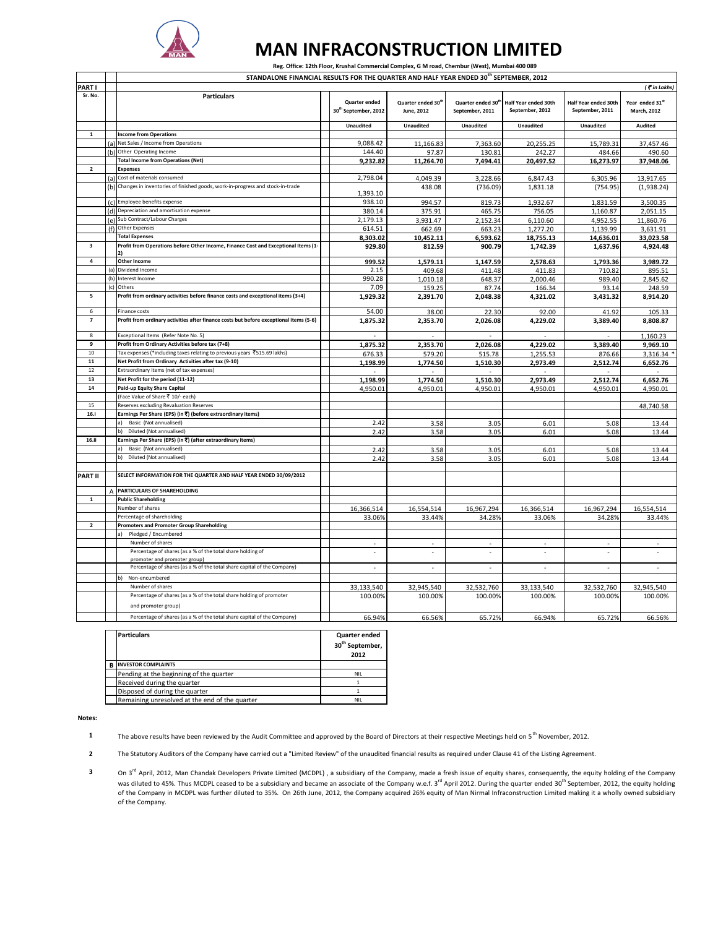

 $\Gamma$ 

 $\overline{\phantom{a}}$ 

## **MAN INFRACONSTRUCTION LIMITED**

 **Reg. Office: 12th Floor, Krushal Commercial Complex, G M road, Chembur (West), Mumbai 400 089** 

**STANDALONE FINANCIAL RESULTS FOR THE QUARTER AND HALF YEAR ENDED 30th SEPTEMBER, 2012**

|                         |     | STANDALONE FINANCIAL RESOLTS FOR THE QUARTER AND HALF TEAR ENDED SUPPLEIVIDER, 2012    |                                  |                                |                                |                          |                      |                 |
|-------------------------|-----|----------------------------------------------------------------------------------------|----------------------------------|--------------------------------|--------------------------------|--------------------------|----------------------|-----------------|
| PART I                  |     |                                                                                        |                                  |                                |                                |                          |                      | ( Tin Lakhs)    |
| Sr. No.                 |     | <b>Particulars</b>                                                                     | Quarter ended                    | Quarter ended 30 <sup>th</sup> | Quarter ended 30 <sup>th</sup> | Half Year ended 30th     | Half Year ended 30th | Year ended 31st |
|                         |     |                                                                                        | 30 <sup>th</sup> September, 2012 | June, 2012                     | September, 2011                | September, 2012          | September, 2011      | March, 2012     |
|                         |     |                                                                                        |                                  |                                |                                |                          |                      |                 |
|                         |     |                                                                                        | <b>Unaudited</b>                 | Unaudited                      | <b>Unaudited</b>               | Unaudited                | Unaudited            | Audited         |
| $\mathbf 1$             |     | <b>Income from Operations</b>                                                          |                                  |                                |                                |                          |                      |                 |
|                         | (a) | Net Sales / Income from Operations                                                     | 9,088.42                         | 11,166.83                      | 7,363.60                       | 20,255.25                | 15,789.31            | 37,457.46       |
|                         |     | (b) Other Operating Income                                                             | 144.40                           | 97.87                          | 130.81                         | 242.27                   | 484.66               | 490.60          |
|                         |     | <b>Total Income from Operations (Net)</b>                                              | 9.232.82                         | 11,264.70                      | 7,494.41                       | 20,497.52                | 16,273.97            | 37,948.06       |
| $\overline{2}$          |     | <b>Expenses</b>                                                                        |                                  |                                |                                |                          |                      |                 |
|                         |     | (a) Cost of materials consumed                                                         | 2,798.04                         | 4,049.39                       | 3,228.66                       | 6,847.43                 | 6,305.96             | 13,917.65       |
|                         |     | (b) Changes in inventories of finished goods, work-in-progress and stock-in-trade      |                                  | 438.08                         | (736.09)                       | 1,831.18                 | (754.95)             | (1,938.24)      |
|                         |     |                                                                                        | 1,393.10                         |                                |                                |                          |                      |                 |
|                         |     | (c) Employee benefits expense                                                          | 938.10                           | 994.57                         | 819.73                         | 1,932.67                 | 1,831.59             | 3,500.35        |
|                         |     | (d) Depreciation and amortisation expense                                              | 380.14                           | 375.91                         | 465.75                         | 756.05                   | 1,160.87             | 2,051.15        |
|                         |     | (e) Sub Contract/Labour Charges                                                        | 2,179.13                         | 3,931.47                       | 2,152.34                       | 6,110.60                 | 4,952.55             | 11,860.76       |
|                         |     | (f) Other Expenses                                                                     | 614.51                           | 662.69                         | 663.23                         | 1,277.20                 | 1,139.99             | 3,631.91        |
|                         |     | <b>Total Expenses</b>                                                                  | 8,303.02                         | 10,452.11                      | 6,593.62                       | 18,755.13                | 14,636.01            | 33,023.58       |
| $\overline{\mathbf{3}}$ |     | Profit from Operations before Other Income, Finance Cost and Exceptional Items (1-     | 929.80                           | 812.59                         | 900.79                         | 1,742.39                 | 1,637.96             | 4,924.48        |
|                         |     |                                                                                        |                                  |                                |                                |                          |                      |                 |
| 4                       |     | <b>Other Income</b>                                                                    | 999.52                           | 1,579.11                       | 1,147.59                       | 2,578.63                 | 1,793.36             | 3,989.72        |
|                         |     | (a) Dividend Income                                                                    | 2.15                             | 409.68                         | 411.48                         | 411.83                   | 710.82               | 895.51          |
|                         |     | (b) Interest Income                                                                    | 990.28                           | 1,010.18                       | 648.37                         | 2,000.46                 | 989.40               | 2,845.62        |
|                         | (c) | Others                                                                                 | 7.09                             | 159.25                         | 87.74                          | 166.34                   | 93.14                | 248.59          |
| 5                       |     | Profit from ordinary activities before finance costs and exceptional items (3+4)       | 1,929.32                         | 2,391.70                       | 2,048.38                       | 4,321.02                 | 3,431.32             | 8,914.20        |
|                         |     |                                                                                        |                                  |                                |                                |                          |                      |                 |
| 6                       |     | Finance costs                                                                          | 54.00                            | 38.00                          | 22.30                          | 92.00                    | 41.92                | 105.33          |
| $\overline{7}$          |     | Profit from ordinary activities after finance costs but before exceptional items (5-6) | 1,875.32                         | 2,353.70                       | 2,026.08                       | 4,229.02                 | 3,389.40             | 8,808.87        |
|                         |     |                                                                                        |                                  |                                |                                |                          |                      |                 |
| 8                       |     | Exceptional Items (Refer Note No. 5)                                                   |                                  |                                |                                |                          |                      | 1,160.23        |
| 9                       |     | Profit from Ordinary Activities before tax (7+8)                                       | 1,875.32                         | 2,353.70                       | 2,026.08                       | 4,229.02                 | 3,389.40             | 9,969.10        |
| 10                      |     | Tax expenses (*including taxes relating to previous years ₹515.69 lakhs)               | 676.33                           | 579.20                         | 515.78                         | 1,255.53                 | 876.66               | 3,316.34        |
| ${\bf 11}$              |     | Net Profit from Ordinary Activities after tax (9-10)                                   | 1,198.99                         | 1,774.50                       | 1,510.30                       | 2,973.49                 | 2,512.74             | 6,652.76        |
| 12                      |     | Extraordinary Items (net of tax expenses)                                              |                                  |                                |                                |                          |                      |                 |
| 13                      |     | Net Profit for the period (11-12)                                                      | 1,198.99                         | 1,774.50                       | 1,510.30                       | 2,973.49                 | 2,512.74             | 6,652.76        |
| 14                      |     | Paid-up Equity Share Capital                                                           | 4,950.01                         | 4,950.01                       | 4,950.01                       | 4,950.01                 | 4,950.01             | 4,950.01        |
|                         |     | (Face Value of Share ₹ 10/- each)                                                      |                                  |                                |                                |                          |                      |                 |
| 15                      |     | Reserves excluding Revaluation Reserves                                                |                                  |                                |                                |                          |                      | 48,740.58       |
| 16.i                    |     | Earnings Per Share (EPS) (in ₹) (before extraordinary items)                           |                                  |                                |                                |                          |                      |                 |
|                         |     | Basic (Not annualised)<br>a)                                                           | 2.42                             | 3.58                           | 3.05                           | 6.01                     | 5.08                 | 13.44           |
|                         |     | b)<br>Diluted (Not annualised)                                                         | 2.42                             | 3.58                           | 3.05                           | 6.01                     | 5.08                 | 13.44           |
| 16.ii                   |     | Earnings Per Share (EPS) (in ₹) (after extraordinary items)                            |                                  |                                |                                |                          |                      |                 |
|                         |     | Basic (Not annualised)<br>a)                                                           | 2.42                             | 3.58                           | 3.05                           | 6.01                     | 5.08                 | 13.44           |
|                         |     | b)<br>Diluted (Not annualised)                                                         | 2.42                             | 3.58                           | 3.05                           | 6.01                     | 5.08                 | 13.44           |
|                         |     |                                                                                        |                                  |                                |                                |                          |                      |                 |
| <b>PART II</b>          |     | SELECT INFORMATION FOR THE QUARTER AND HALF YEAR ENDED 30/09/2012                      |                                  |                                |                                |                          |                      |                 |
|                         |     |                                                                                        |                                  |                                |                                |                          |                      |                 |
|                         |     | PARTICULARS OF SHAREHOLDING                                                            |                                  |                                |                                |                          |                      |                 |
| $\mathbf 1$             |     | <b>Public Shareholding</b>                                                             |                                  |                                |                                |                          |                      |                 |
|                         |     | Number of shares                                                                       | 16,366,514                       | 16,554,514                     | 16,967,294                     | 16,366,514               | 16,967,294           | 16,554,514      |
|                         |     | Percentage of shareholding                                                             | 33.06%                           | 33.44%                         | 34.28%                         | 33.06%                   | 34.28%               | 33.44%          |
| $\mathbf{2}$            |     | <b>Promoters and Promoter Group Shareholding</b>                                       |                                  |                                |                                |                          |                      |                 |
|                         |     | Pledged / Encumbered<br>a)                                                             |                                  |                                |                                |                          |                      |                 |
|                         |     | Number of shares                                                                       |                                  |                                |                                |                          |                      |                 |
|                         |     | Percentage of shares (as a % of the total share holding of                             | $\overline{a}$                   | ÷.                             |                                | $\overline{\phantom{a}}$ | ä,                   | ÷.              |
|                         |     | promoter and promoter group)                                                           |                                  |                                |                                |                          |                      |                 |
|                         |     | Percentage of shares (as a % of the total share capital of the Company)                |                                  |                                |                                |                          |                      |                 |
|                         |     | b)<br>Non-encumbered                                                                   |                                  |                                |                                |                          |                      |                 |
|                         |     | Number of shares                                                                       | 33,133,540                       | 32,945,540                     | 32,532,760                     | 33,133,540               | 32,532,760           | 32,945,540      |
|                         |     | Percentage of shares (as a % of the total share holding of promoter                    | 100.00%                          | 100.00%                        | 100.00%                        | 100.00%                  | 100.00%              | 100.00%         |
|                         |     |                                                                                        |                                  |                                |                                |                          |                      |                 |
|                         |     | and promoter group)                                                                    |                                  |                                |                                |                          |                      |                 |
|                         |     | Percentage of shares (as a % of the total share capital of the Company)                | 66.94%                           | 66.56%                         | 65.72%                         | 66.94%                   | 65.72%               | 66.56%          |

|   | <b>Particulars</b>                             | Quarter ended<br>30 <sup>th</sup> September,<br>2012 |
|---|------------------------------------------------|------------------------------------------------------|
| B | <b>INVESTOR COMPLAINTS</b>                     |                                                      |
|   | Pending at the beginning of the quarter        | <b>NIL</b>                                           |
|   | Received during the quarter                    |                                                      |
|   | Disposed of during the quarter                 |                                                      |
|   | Remaining unresolved at the end of the quarter | <b>NIL</b>                                           |

**Notes:**

- **1** The above results have been reviewed by the Audit Committee and approved by the Board of Directors at their respective Meetings held on 5<sup>th</sup> November, 2012.
- **2** The Statutory Auditors of the Company have carried out a "Limited Review" of the unaudited financial results as required under Clause 41 of the Listing Agreement.
- **3** On 3<sup>rd</sup> April, 2012, Man Chandak Developers Private Limited (MCDPL), a subsidiary of the Company, made a fresh issue of equity shares, consequently, the equity holding of the Company was diluted to 45%. Thus MCDPL ceased to be a subsidiary and became an associate of the Company w.e.f. 3<sup>rd</sup> April 2012. During the quarter ended 30<sup>th</sup> September, 2012, the equity holding of the Company in MCDPL was further diluted to 35%. On 26th June, 2012, the Company acquired 26% equity of Man Nirmal Infraconstruction Limited making it a wholly owned subsidiary of the Company.